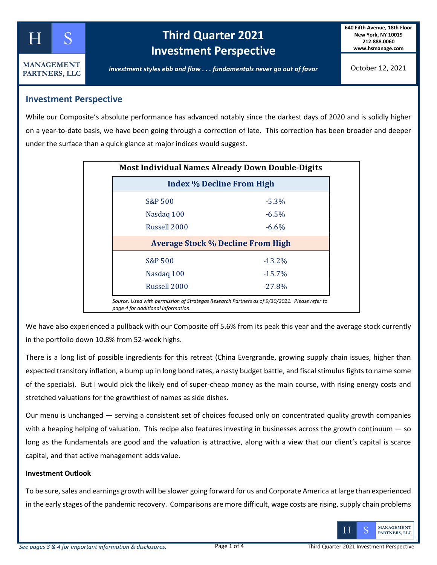

**PARTNERS, LLC**

# **Kellog Third Quarter 2021 Investment Perspective**

**640 Fifth Avenue, 18th Floor New York, NY 10019 212.888.0060 www.hsmanage.com**

*investment styles ebb and flow . . . fundamentals never go out of favor*

October 12, 2021

### **Investment Perspective**

While our Composite's absolute performance has advanced notably since the darkest days of 2020 and is solidly higher on a year-to-date basis, we have been going through a correction of late. This correction has been broader and deeper under the surface than a quick glance at major indices would suggest.

| <b>Index % Decline From High</b>         |           |  |  |  |  |  |
|------------------------------------------|-----------|--|--|--|--|--|
| S&P 500                                  | $-5.3%$   |  |  |  |  |  |
| Nasdaq 100                               | $-6.5\%$  |  |  |  |  |  |
| Russell 2000                             | $-6.6\%$  |  |  |  |  |  |
| <b>Average Stock % Decline From High</b> |           |  |  |  |  |  |
| <b>S&amp;P 500</b>                       | $-13.2%$  |  |  |  |  |  |
| Nasdaq 100                               | $-15.7%$  |  |  |  |  |  |
| Russell 2000                             | $-27.8\%$ |  |  |  |  |  |

We have also experienced a pullback with our Composite off 5.6% from its peak this year and the average stock currently in the portfolio down 10.8% from 52-week highs.

There is a long list of possible ingredients for this retreat (China Evergrande, growing supply chain issues, higher than expected transitory inflation, a bump up in long bond rates, a nasty budget battle, and fiscal stimulus fights to name some of the specials). But I would pick the likely end of super-cheap money as the main course, with rising energy costs and stretched valuations for the growthiest of names as side dishes.

Our menu is unchanged — serving a consistent set of choices focused only on concentrated quality growth companies with a heaping helping of valuation. This recipe also features investing in businesses across the growth continuum  $-$  so long as the fundamentals are good and the valuation is attractive, along with a view that our client's capital is scarce capital, and that active management adds value.

#### **Investment Outlook**

To be sure, sales and earnings growth will be slower going forward for us and Corporate America at large than experienced in the early stages of the pandemic recovery. Comparisons are more difficult, wage costs are rising, supply chain problems

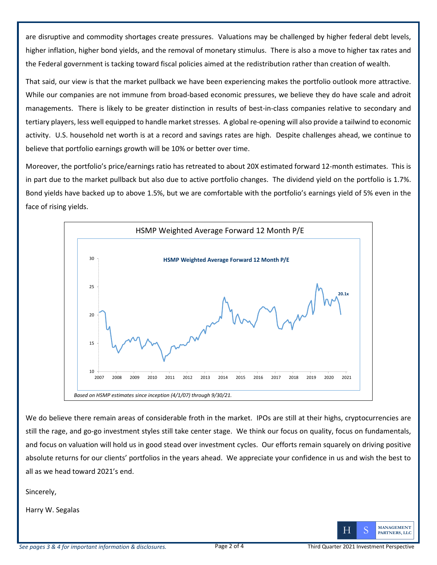are disruptive and commodity shortages create pressures. Valuations may be challenged by higher federal debt levels, higher inflation, higher bond yields, and the removal of monetary stimulus. There is also a move to higher tax rates and the Federal government is tacking toward fiscal policies aimed at the redistribution rather than creation of wealth.

That said, our view is that the market pullback we have been experiencing makes the portfolio outlook more attractive. While our companies are not immune from broad-based economic pressures, we believe they do have scale and adroit managements. There is likely to be greater distinction in results of best-in-class companies relative to secondary and tertiary players, less well equipped to handle market stresses. A global re-opening will also provide a tailwind to economic activity. U.S. household net worth is at a record and savings rates are high. Despite challenges ahead, we continue to believe that portfolio earnings growth will be 10% or better over time.

Moreover, the portfolio's price/earnings ratio has retreated to about 20X estimated forward 12-month estimates. This is in part due to the market pullback but also due to active portfolio changes. The dividend yield on the portfolio is 1.7%. Bond yields have backed up to above 1.5%, but we are comfortable with the portfolio's earnings yield of 5% even in the face of rising yields.



We do believe there remain areas of considerable froth in the market. IPOs are still at their highs, cryptocurrencies are still the rage, and go-go investment styles still take center stage. We think our focus on quality, focus on fundamentals, and focus on valuation will hold us in good stead over investment cycles. Our efforts remain squarely on driving positive absolute returns for our clients' portfolios in the years ahead. We appreciate your confidence in us and wish the best to all as we head toward 2021's end.

Sincerely,

Harry W. Segalas

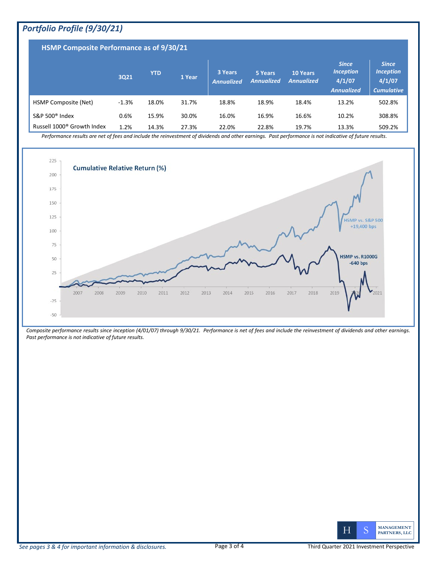## *Portfolio Profile (9/30/21)*

| HSMP Composite Performance as of 9/30/21 |         |            |        |                              |                              |                                      |                                                                 |                                                                 |  |
|------------------------------------------|---------|------------|--------|------------------------------|------------------------------|--------------------------------------|-----------------------------------------------------------------|-----------------------------------------------------------------|--|
|                                          | 3Q21    | <b>YTD</b> | 1 Year | 3 Years<br><b>Annualized</b> | 5 Years<br><b>Annualized</b> | <b>10 Years</b><br><b>Annualized</b> | <b>Since</b><br><b>Inception</b><br>4/1/07<br><b>Annualized</b> | <b>Since</b><br><b>Inception</b><br>4/1/07<br><b>Cumulative</b> |  |
| <b>HSMP Composite (Net)</b>              | $-1.3%$ | 18.0%      | 31.7%  | 18.8%                        | 18.9%                        | 18.4%                                | 13.2%                                                           | 502.8%                                                          |  |
| S&P 500 <sup>®</sup> Index               | 0.6%    | 15.9%      | 30.0%  | 16.0%                        | 16.9%                        | 16.6%                                | 10.2%                                                           | 308.8%                                                          |  |
| Russell 1000 <sup>®</sup> Growth Index   | 1.2%    | 14.3%      | 27.3%  | 22.0%                        | 22.8%                        | 19.7%                                | 13.3%                                                           | 509.2%                                                          |  |

*Performance results are net of fees and include the reinvestment of dividends and other earnings. Past performance is not indicative of future results.* 



*Composite performance results since inception (4/01/07) through 9/30/21. Performance is net of fees and include the reinvestment of dividends and other earnings. Past performance is not indicative of future results.*